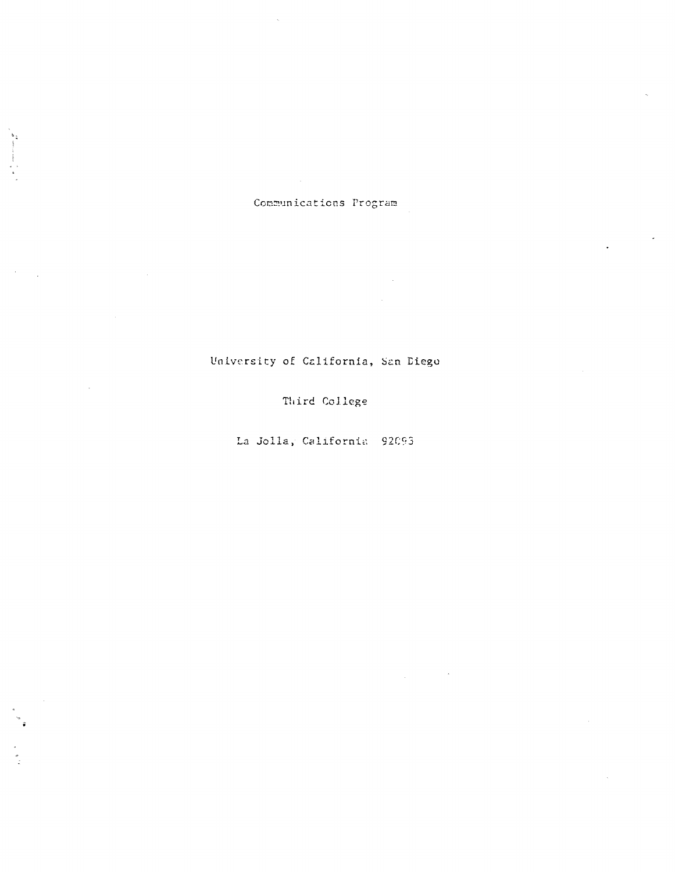## Communications Program

 $\ddot{\phantom{a}}$ 

 $\sim$ 

University of California, San Diego

Third College

La Jolla, California 92093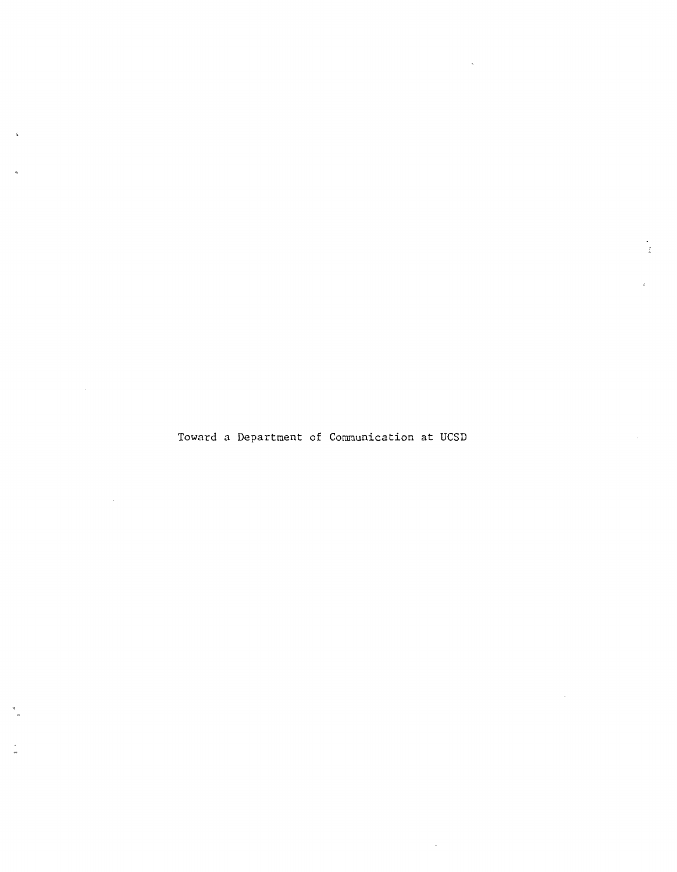Toward a Department of Communication at UCSD

 $\bar{z}$ 

 $\mathcal{L}$ 

 $\sim 10^{-10}$ 

 $\sim$   $\sim$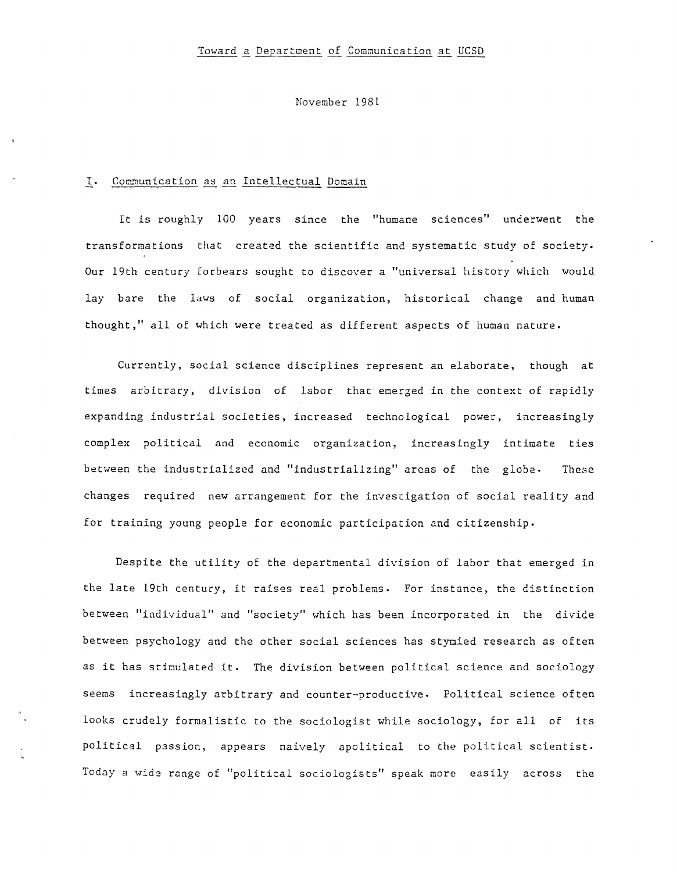November 1981

### I. Communication as an Intellectual Domain

It is roughly 100 years since the "humane sciences" underwent the transformations that created the scientific and systematic study of society. Our 19th century forbears sought to discover a "universal history which would lay bare the laws of social organization, historical change and human thought," all of which were treated as different aspects of human nature.

Currently, social science disciplines represent an elaborate, though at times arbitrary, division of labor that emerged in the context of rapidly expanding industrial societies, increased technological power, increasingly complex political and economic organization, increasingly intimate ties between the industrialized and "industrializing" areas of the globe- These changes required new arrangement for the investigation of social reality and for training young people for economic participation and citizenship.

Despite the utility of the departmental division of labor that emerged in the late 19th century, it raises real problems. For instance, the distinction between "individual" and "society" which has been incorporated in the divice between psychology and the other social sciences has stymied research as often as it has stimulated it. The division between political science and sociology seems increasingly arbitrary and counter-productive. Political science often looks crudely formalistic to the sociologist while sociology, for all of its political passion, appears naively apolitical to the political scientist. Today a wide range of "political sociologists" speak more easily across the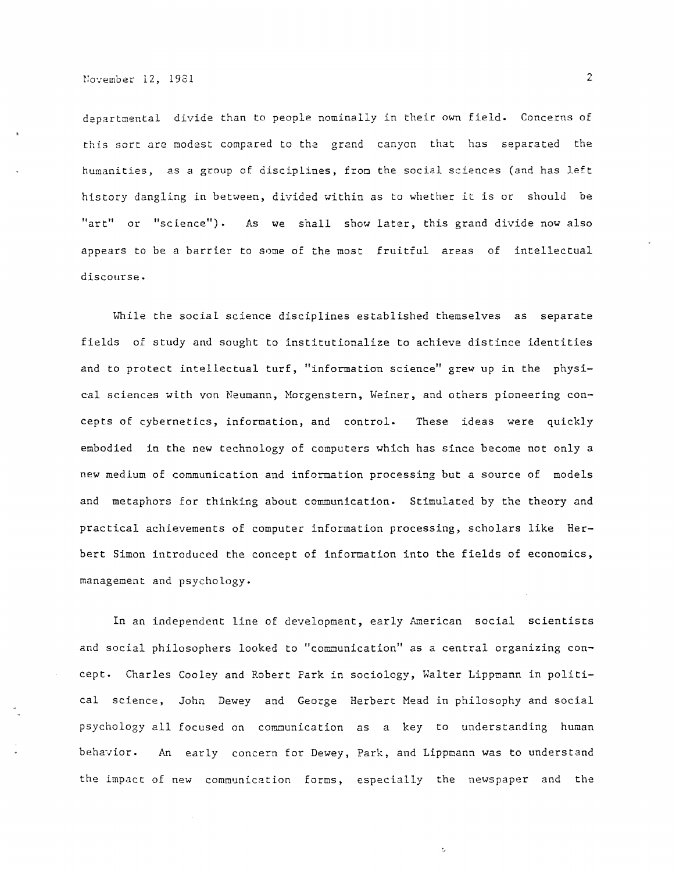departmental divide than to people nominally in their own field. Concerns of this sort are modest compared to the grand canyon that has separated the humanities, as a group of disciplines, from the social sciences (and has left history dangling in between, divided within as to whether it is or should be "art" or "science"). As we shall show later, this grand divide now also appears to be a barrier to some of the most fruitful areas of intellectual discourse.

While the social science disciplines established themselves as separate fields of study and sought to institutionalize to achieve distince identities and to protect intellectual turf, "information science" grew up in the physical sciences with von Neumann, Morgenstern, Weiner, and others pioneering concepts of cybernetics, information, and control. These ideas were quickly embodied in the new technology of computers which has since become not only a new medium of communication and information processing but a source of models and metaphors for thinking about communication. Stimulated by the theory and practical achievements of computer information processing, scholars like Herbert Simon introduced the concept of information into the fields of economics, management and psychology.

In an independent line of development, early American social scientists and social philosophers looked to "communication" as a central organizing concept. Charles Cooley and Robert Park in sociology, Walter Lippmann in political science, John Dewey and George Herbert Mead in philosophy and social psychology all focused on communication as a key to understanding human behavior. An early concern for Dewey, Park, and Lippmann was to understand the impact of new communication forms, especially the newspaper and the

Ł.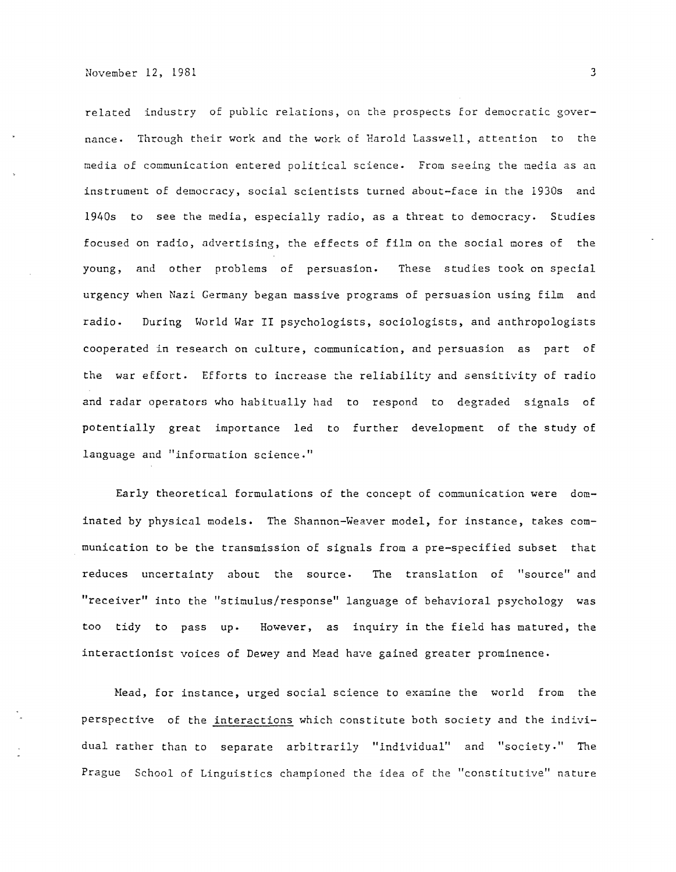related industry of public relations, on the prospects for democratic governance. Through their work and the work of Harold Lasswell, attention to the media of communication entered political science. From seeing the media as an instrument of democracy, social scientists turned about-face in the 1930s and 1940s to see the media, especially radio, as a threat to democracy. Studies focused on radio, advertising, the effects of film on the social mores of the young, and other problems of persuasion. These studies took on special urgency when Nazi Germany began massive programs of persuasion using film and radio. During World War II psychologists, sociologists, and anthropologists cooperated in research on culture, communication, and persuasion as part of the war effort. Efforts to increase the reliability and sensitivity of radio and radar operators who habitually had to respond to degraded signals of potentially great importance led to further development of the study of language and "information science."

Early theoretical formulations of the concept of communication were dominated by physical models. The Shannon-Weaver model, for instance, takes communication to be the transmission of signals from a pre-specified subset that reduces uncertainty about the source. The translation of "source" and "receiver" into the "stimulus/response" language of behavioral psychology was too tidy to pass up. However, as inquiry in the field has matured, the interactionist voices of Dewey and Mead have gained greater prominence.

Head, for instance, urged social science to examine the world from the perspective of the interactions which constitute both society and the individual rather than to separate arbitrarily "individual" and "society." The Prague School of Linguistics championed the idea of the "constitutive" nature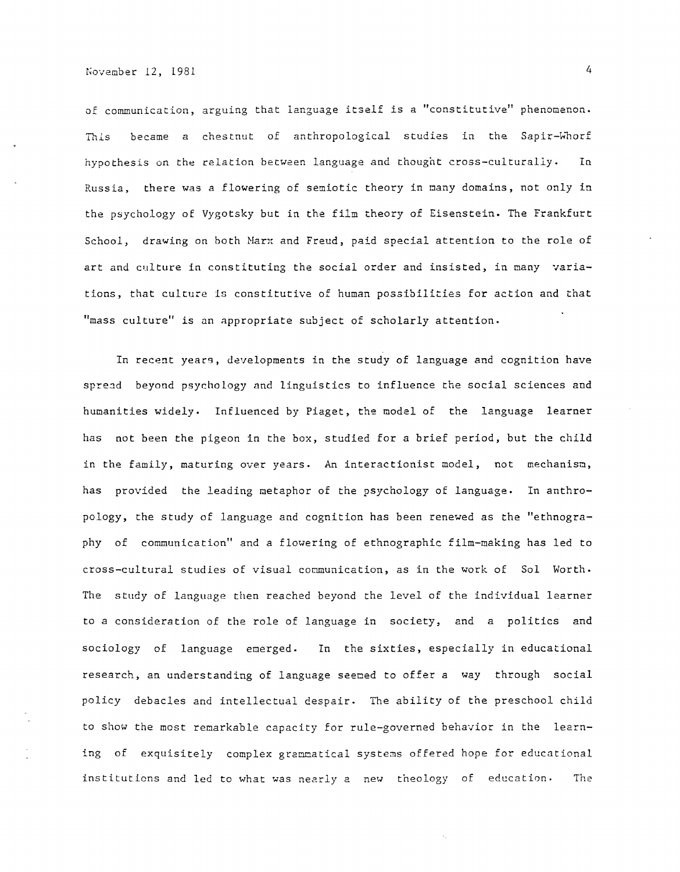of communication, arguing that language itself is a "constitutive" phenomenon. This became a chestnut of anthropological studies in the Sapir-Whorf hypothesis on the relation between language and thought cross-culturally. In Russia, there was a flowering of semiotic theory in many domains, not only in the psychology of Vygotsky but in the film theory of Eisenstein. The Frankfurt School, drawing on both Marx and Freud, paid special attention to the role of art and culture in constituting the social order and insisted, in many variations, that culture is constitutive of human possibilities for action and that "mass culture" is an appropriate subject of scholarly attention.

In recent years, developments in the study of language and cognition have spread beyond psychology and linguistics to influence the social sciences and humanities widely. Influenced by Piaget, the model of the language learner has not been the pigeon in the box, studied for a brief period, but the child in the family, maturing over years. An interactionist model, not mechanism, has provided the leading metaphor of the psychology of language. In anthropology, the study of language and cognition has been renewed as the "ethnography of communication" and a flowering of ethnographic film-making has led to cross-cultural studies of visual communication, as in the work of Sol Worth. The study of language then reached beyond the level of the individual learner to *a* consideration of the role of language in society, and a politics and sociology of language emerged. In the sixties, especially in educational research, an understanding of language seeoed to offer *a* way through social policy debacles and intellectual despair. The ability of the preschool child to show the most remarkable capacity for rule-governed behavior in the learning of exquisitely complex grammatical systems offered hope for educational institutions and led to what was nearly a new theology of education. The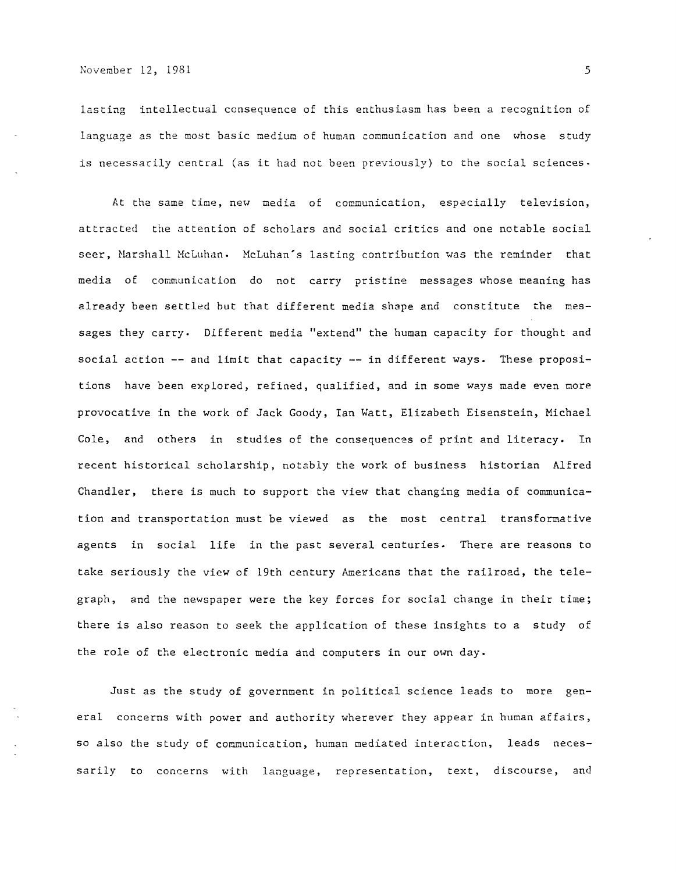lasting intellectual consequence of this enthusiasm has been a recognition of language as the most basic medium of human communication and one whose study is necessarily central (as it had not been previously) to the social sciences.

At the same time, new media of communication, especially television, attracted the attention of scholars and social critics and one notable social seer, Harshall McLuhan. McLuhan's lasting contribution was the reminder that media of communication do not carry pristine messages whose meaning has already been settled but that different media shape and constitute the messages they carry. Different media "extend" the human capacity for thought and social action -- and limit that capacity -- in different ways. These propositions have been explored, refined, qualified, and in some ways made even more provocative in the work of Jack Goody, Ian Watt, Elizabeth Eisenstein, Michael Cole, and others in studies of the consequences of print and literacy. In recent historical scholarship, notably the work of business historian Alfred Chandler, there is much to support the view that changing media of communication and transportation must be viewed as the most central transformative agents in social life in the past several centuries. There are reasons to take seriously the view of 19th century Americans that the railroad, the telegraph, and the newspaper were the key forces for social change in their time; there is also reason to seek the application of these insights to a study of the role of the electronic media and computers in our own day.

Just as the study of government in political science leads to more general concerns with power and authority wherever they appear in human affairs, so also the study of communication, human mediated interaction, leads necessarily to concerns with language, representation, text, discourse, and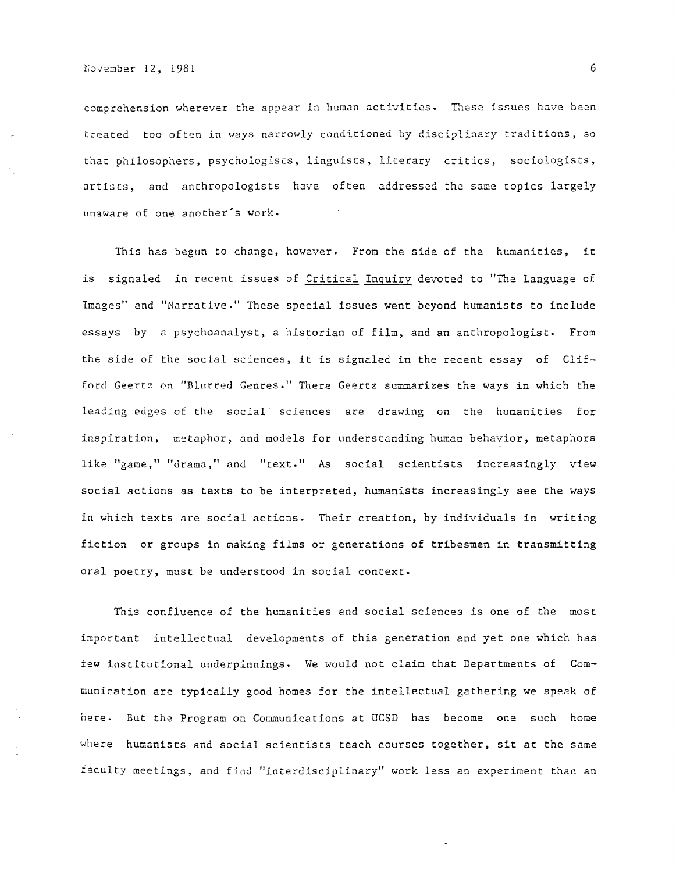comprehension wherever the appear in human activities. These issues have been treated too often in ways narrowly conditioned by disciplinary traditions, so that philosophers, psychologists, linguists, literary critics, sociologists, artists, and anthropologists have often addressed the same topics largely unaware of one another's work.

This has begun to change, however. From the side of the humanities, it is signaled in recent issues of Critical Inquiry devoted to "The Language of Images" and "Narrative." These special issues went beyond humanists to include essays by a psychoanalyst, a historian of film, and an anthropologist. From the side of the social sciences, it is signaled in the recent essay of Clifford Geertz on "Blurred Genres." There Geertz summarizes the ways in which the leading edges of the social sciences are drawing on the humanities for inspiration, metaphor, and models for understanding human behavior, metaphors like "game," "drama," and "text." As social scientists increasingly view social actions as texts to be interpreted, humanists increasingly see the ways in which texts are social actions. Their creation, by individuals in writing fiction or groups in making films or generations of tribesmen in transmitting oral poetry, must be understood in social context.

This confluence of the humanities and social sciences is one of the most important intellectual developments of this generation and yet one which has few institutional underpinnings. We would not claim that Departments of Communication are typically good homes for the intellectual gathering we speak of here. But the Program on Communications at UCSD has become one such home where humanists and social scientists teach courses together, sit at the same faculty meetings, and find "interdisciplinary" work less an experiment than an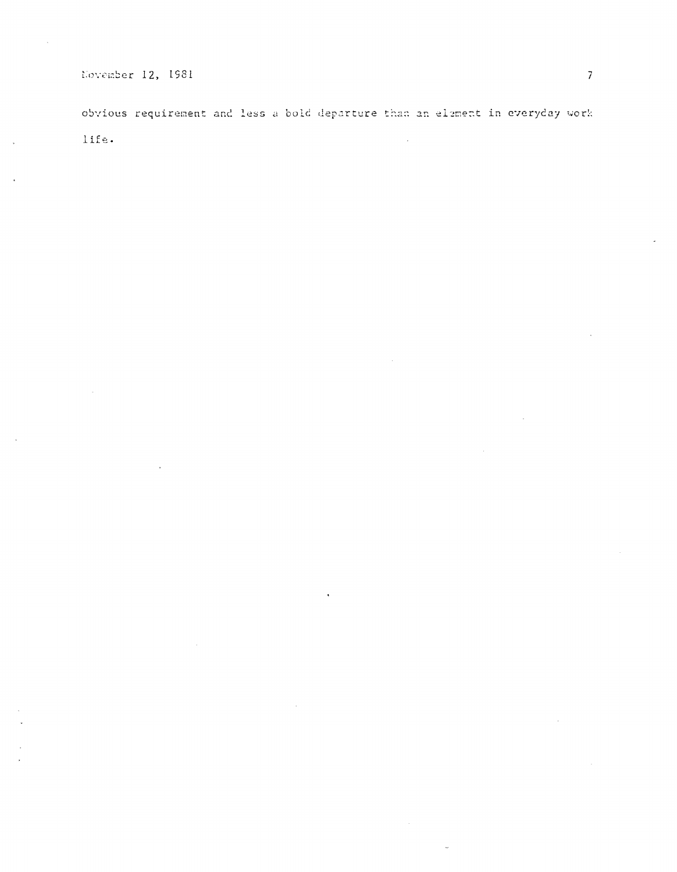# November 12, 1981

obvious requirement and less a bold departure than an element in everyday work life.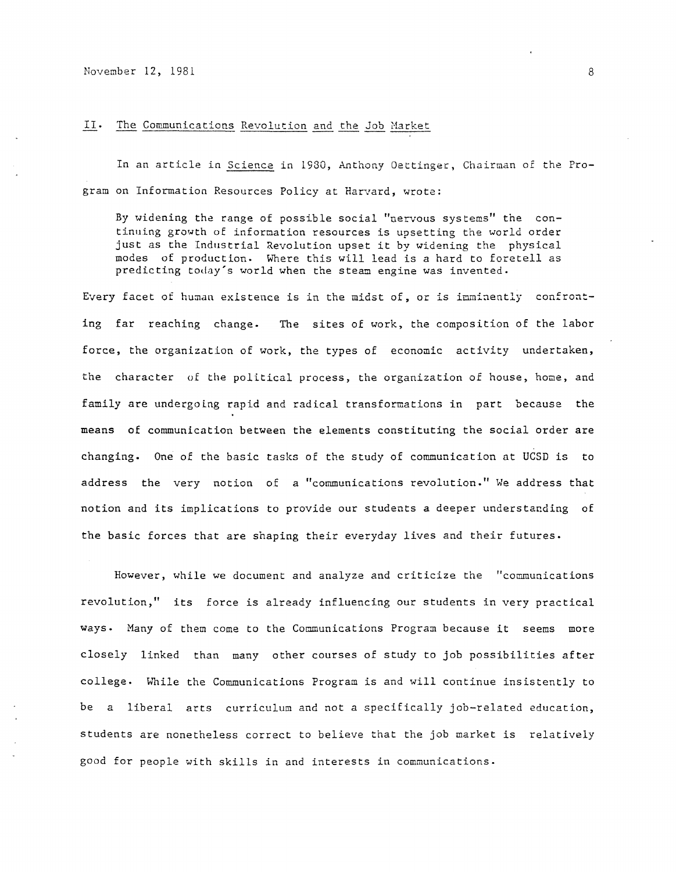November 12, 1981 8

### II. The Communications Revolution and the Job Market

In an article in Science in 1980, Anthony Gettinger, Chairman 0£ the Program on Information Resources Policy at Harvard, wrote:

By widening the range of possible social "nervous systems" the continuing growth of information resources is upsetting the world order just as the Industrial Revolution upset it by widening the physical modes of production. Where this will lead is a hard to foretell as predicting today's world when the steam engine was invented.

Every facet of human existence is in the midst of, or is inminently confronting far reaching change. The sites of work, the composition of the labor force, the organization of work, the types of economic activity undertaken, the character of the political process, the organization of house, home, and family are undergoing rapid and radical transformations in part because the means of communication between the elements constituting the social order are changing. One of the basic tasks of the study of communication at UCSD is to address the very notion of a "communications revolution." We address that notion and its implications to provide our students a deeper understanding of the basic forces that are shaping their everyday lives and their futures.

However, while we document and analyze and criticize the "communications revolution," its force is already influencing our students in very practical ways. Many of them come to the Communications Program because it seems more closely linked than many other courses of study to job possibilities after college. While the Communications Program is and will continue insistently to be a liberal arts curriculum and not a specifically job-related education, students are nonetheless correct to believe that the job market is relatively good for people with skills in and interests in communications.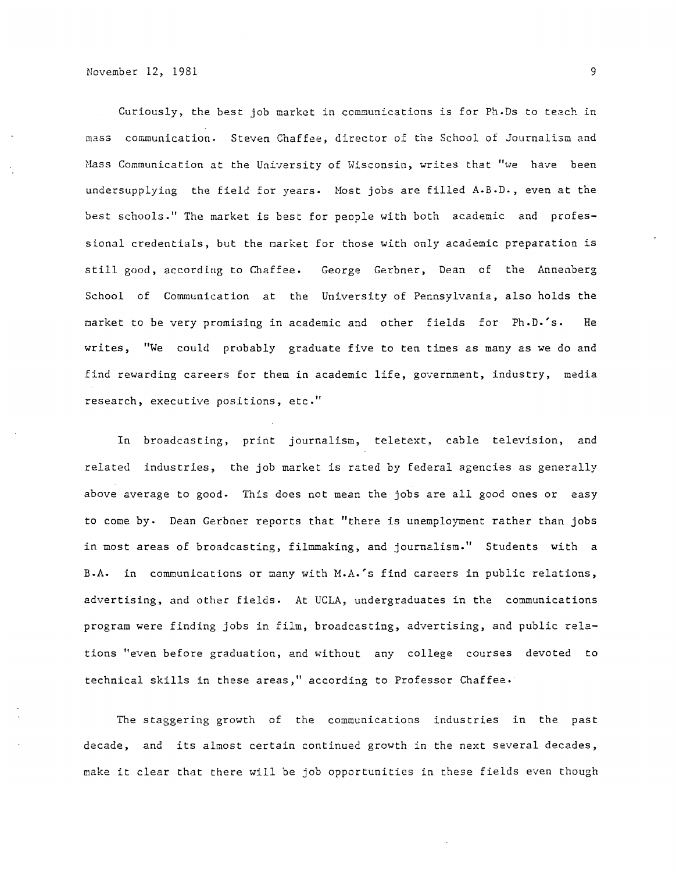Curiously, the best job market in communications is for Ph.Ds to teach in mass communication. Steven Chaffee, director of the School of Journalism and Mass Communication at the University of Wisconsin, writes that "we have been undersupplying the field for years. Host jobs are filled A.B.D., even at the best schools." The market is best for people with both academic and professional credentials, but the narket for those with only academic preparation is still good, according to Chaffee. George Gerbner, Dean of the Annenberg School of Communication at the University of Pennsylvania, also holds the narket to be very promising in academic and other fields for Ph.D.'s. He writes, "We could probably graduate five to ten times as many as we do and find rewarding careers *Eor* them in academic life, government, industry, media research, executive positions, etc."

In broadcasting, print journalism, teletext, cable television, and related industries, the job market is rated by federal agencies as generally above average to good. This does not mean the jobs are all good ones or easy to come by. Dean Gerbner reports that "there is unemployment rather than jobs in most areas of broadcasting, filmmaking, and journalism." Students with a B.A. in communications or many with M.A.'s find careers in public relations, advertising, and other fields. At UCLA, undergraduates in the communications program were finding jobs in film, broadcasting, advertising, and public relations "even before graduation, and without any college courses devoted to technical skills in these areas," according to Professor Chaffee.

The staggering growth of the communications industries in the past decade, and its almost certain continued growth in the next several decades, make it clear that there will be job opportunities in these fields even though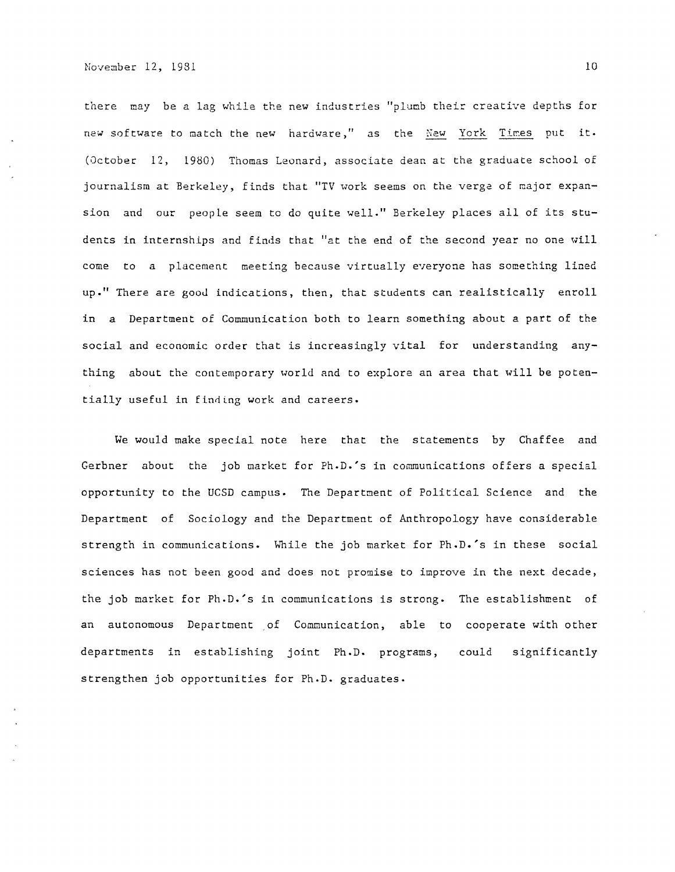there may be a lag while the new industries "plumb their creative depths for new software to match the new hardware," as the New York Times put it. (October 12, 1980) Thomas Leonard, associate dean at the graduate school of journalism at Berkeley, finds that "TV work seems on the verge of major expansion and our people seem to do quite well." Berkeley places all of its students in internships and finds that "at the end of the second year no one will come to a placement meeting because virtually everyone has something lined up." There are gooJ indications, then, that students can realistically enroll in a Department of Communication both to learn something about a part of the social and economic order that is increasingly vital for understanding anything about the contemporary world and to explore an area that will be potentially useful in finding work and careers.

We would make special note here that the statements by Chaffee and Gerbner about the job market for Ph.D.'s in communications offers a special opportunity to the UCSD campus. The Department of Political Science and the Department of Sociology and the Department of Anthropology have considerable strength in communications. While the job market for Ph.D.'s in these social sciences has not been good and does not promise to improve in the next decade, the job market for Ph.D.'s in communications is strong. The establishment of an autonomous Department of Communication, able to cooperate with other departments in establishing joint Ph.D. programs, could significar strengthen job opportunities for Ph.D. graduates.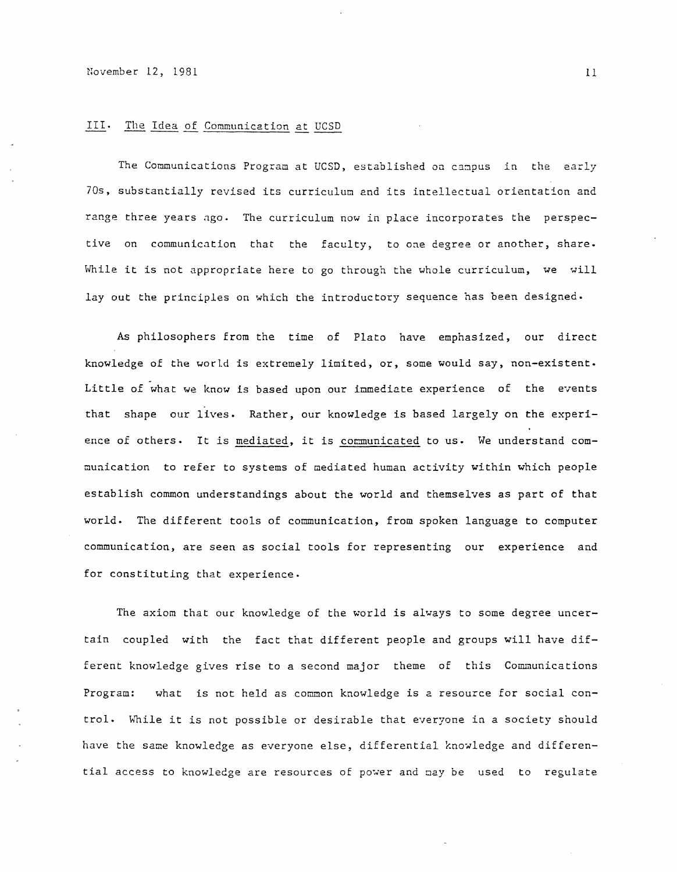#### III. The Idea of Communication at UCSD

The Communications Program at UCSD, established on campus in the early 70s, substantially revised its curriculum and its intellectual orientation and range three years ngo. The curriculum now in place incorporates the perspective on communication that the faculty, to one degree or another, share. While it is not appropriate here to go through the whole curriculum, we will lay out the principles on which the introductory sequence has been designed.

As philosophers from the time of Plato have emphasized, our direct knowledge of the world is extremely limited, or, some would say, non-existent. Little of what we know is based upon our imnediate experience of the events that shape our lives. Rather, our knowledge is based largely on the experience of others. It is mediated, it is communicated to us. We understand communication to refer to systems of mediated human activity within which people establish common understandings about the world and themselves as part of that world. The different tools of communication, from spoken language to computer communication, are seen as social tools for representing our experience and for constituting that experience.

The axiom that our knowledge of the world is always to some degree uncertain coupled with the fact that different people and groups will have different knowledge gives rise to a second major theme of this Communications Program: what is not held as common knowledge is a resource for social control. While it is not possible or desirable that everyone in a society should have the same knowledge as everyone else, differential knowledge and differential access to knowledge are resources of power and may be used to regulate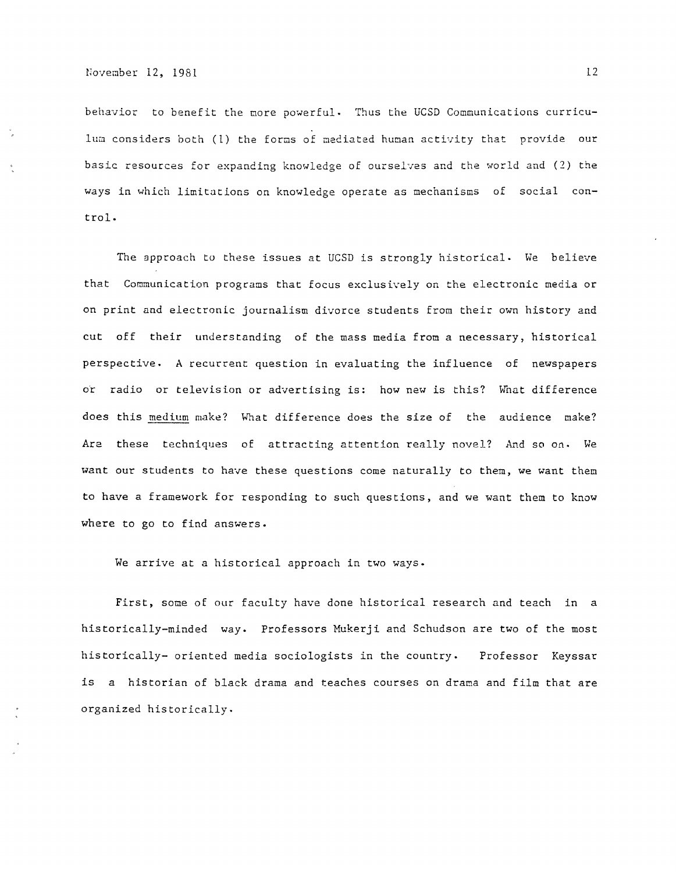behavior to benefit the more powerful. Thus the UCSD Communications curriculum considers both (1) the forms of mediated human activity that provide our basic resources for expanding knowledge of ourselves and the world and (2) the ways in which limitations on knowledge operate as mechanisms of social control.

The approach to these issues at UCSD is strongly historical. We believe that Communication programs that focus exclusively on the electronic media *or*  on print and electronic journalism divorce students from their own history and cut off their understanding of the mass media from a necessary, historical perspective. A recurrent question in evaluating the influence of newspapers or radio *or* television or advertising is: how new is this? What difference does this medium make? What difference does the size of the audience make? Are these techniques of attracting attention really novel? And so on. We want our students to have these questions come naturally to them, we want them to have a framework for responding to such questions, and we want them to know where to go to find answers.

We arrive at a historical approach in two ways.

First, some *oE* our faculty have done historical research and teach in a historically-minded way. Professors Mukerji and Schudson are two of the most historically- oriented media sociologists in the country. Professor Keyssar is a historian of black drama and teaches courses on drama and film that are organized historically.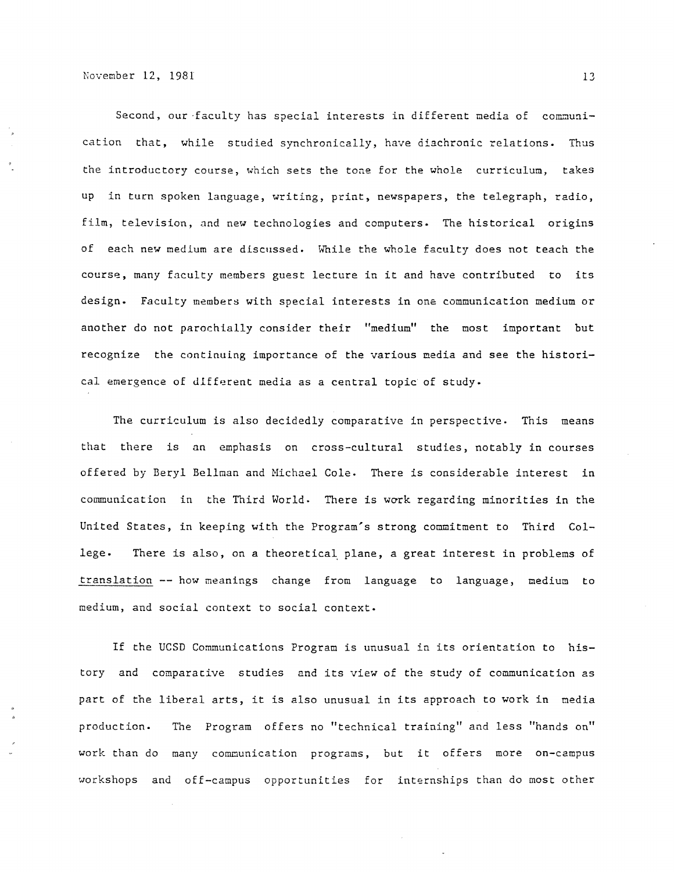Second, our faculty has special interests in different media of communication that, while studied synchronically, have diachronic relations. Thus the introductory course, which sets the tone for the whole curriculum, takes up in turn spoken language, writing, print, newspapers, the telegraph, radio, film, television, and new technologies and computers. The historical origins of each new medium are discussed. While the whole faculty does not teach the course, many faculty members guest lecture in it and have contributed to its design. Faculty members with special interests in one communication medium or another do not parochially consider their "medium" the most important but recognize the continuing importance of the various media and see the historical emergence of different media as a central topic of study.

The curriculum is also decidedly comparative in perspective. This means that there is an emphasis on cross-cultural studies, notably in courses offered by Beryl Bellman and Michael Cole. There is considerable interest in communication in the Third World. There is work regarding minorities in the United States, in keeping with the Program's strong commitment to Third College. There is also, on a theoretical, plane, a great interest in problems of translation -- how meanings change from language to language, medium to medium, and social context to social context.

If the UCSD Communications Program is unusual in its orientation to history and comparative studies and its view of the study of communication as part of the liberal arts, it is also unusual in its approach to work in media production. The Program offers no "technical training" and less "hands on" work than do many comnunication programs, but it offers more on-campus workshops and off-campus opportunities for internships than do most other